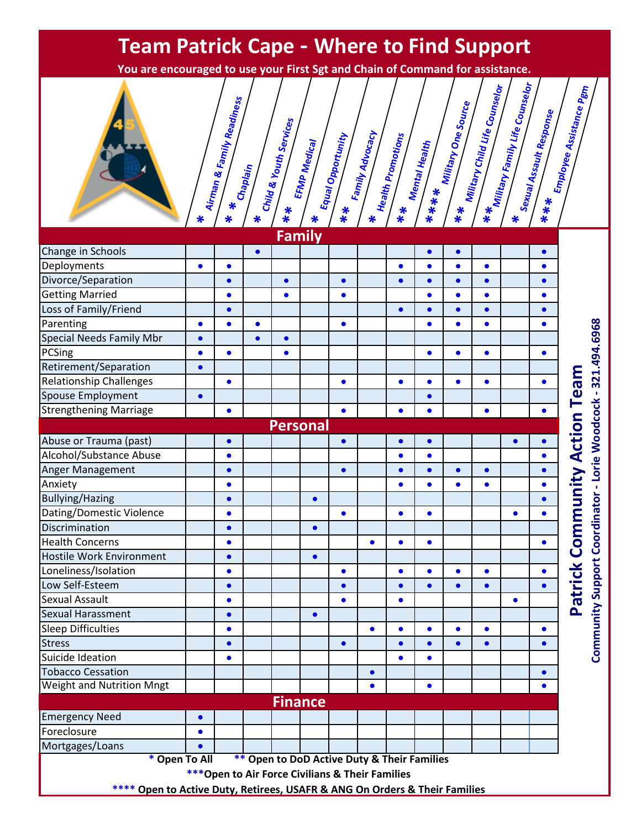## **Team Patrick Cape - Where to Find Support**

**You are encouraged to use your First Sgt and Chain of Command for assistance.**